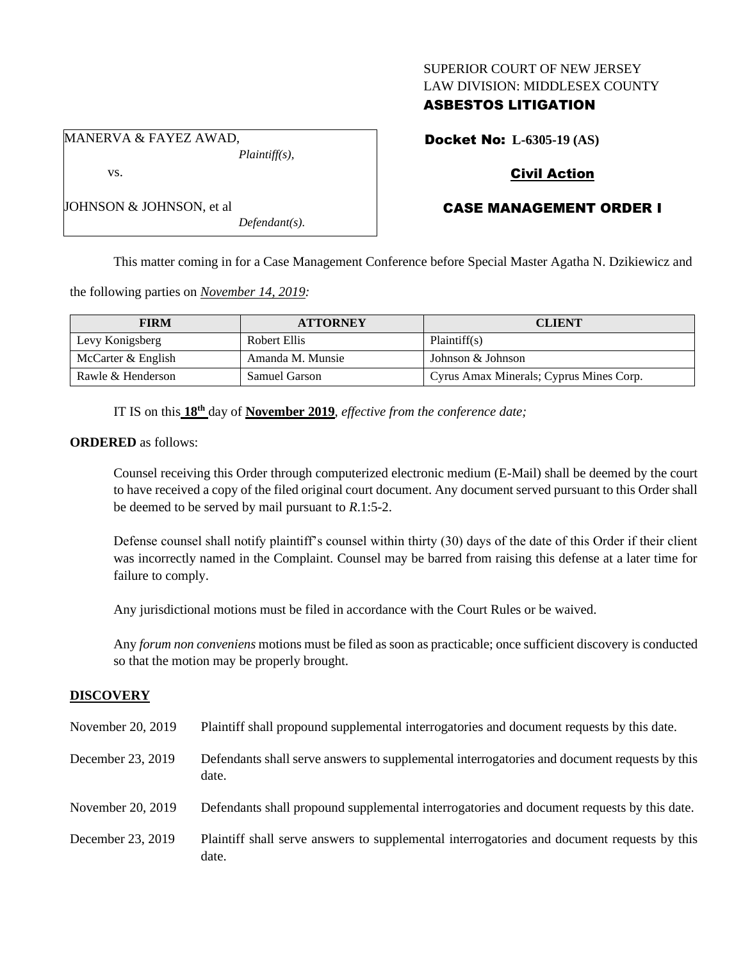### SUPERIOR COURT OF NEW JERSEY LAW DIVISION: MIDDLESEX COUNTY

## ASBESTOS LITIGATION

MANERVA & FAYEZ AWAD, *Plaintiff(s),*

JOHNSON & JOHNSON, et al

vs.

Docket No: **L-6305-19 (AS)**

# Civil Action

# CASE MANAGEMENT ORDER I

*Defendant(s).*

This matter coming in for a Case Management Conference before Special Master Agatha N. Dzikiewicz and

the following parties on *November 14, 2019:*

| <b>FIRM</b>        | <b>ATTORNEY</b>  | <b>CLIENT</b>                           |
|--------------------|------------------|-----------------------------------------|
| Levy Konigsberg    | Robert Ellis     | Plaintiff(s)                            |
| McCarter & English | Amanda M. Munsie | Johnson & Johnson                       |
| Rawle & Henderson  | Samuel Garson    | Cyrus Amax Minerals; Cyprus Mines Corp. |

IT IS on this **18th** day of **November 2019**, *effective from the conference date;*

**ORDERED** as follows:

Counsel receiving this Order through computerized electronic medium (E-Mail) shall be deemed by the court to have received a copy of the filed original court document. Any document served pursuant to this Order shall be deemed to be served by mail pursuant to *R*.1:5-2.

Defense counsel shall notify plaintiff's counsel within thirty (30) days of the date of this Order if their client was incorrectly named in the Complaint. Counsel may be barred from raising this defense at a later time for failure to comply.

Any jurisdictional motions must be filed in accordance with the Court Rules or be waived.

Any *forum non conveniens* motions must be filed as soon as practicable; once sufficient discovery is conducted so that the motion may be properly brought.

### **DISCOVERY**

| November 20, 2019 | Plaintiff shall propound supplemental interrogatories and document requests by this date.             |
|-------------------|-------------------------------------------------------------------------------------------------------|
| December 23, 2019 | Defendants shall serve answers to supplemental interrogatories and document requests by this<br>date. |
| November 20, 2019 | Defendants shall propound supplemental interrogatories and document requests by this date.            |
| December 23, 2019 | Plaintiff shall serve answers to supplemental interrogatories and document requests by this<br>date.  |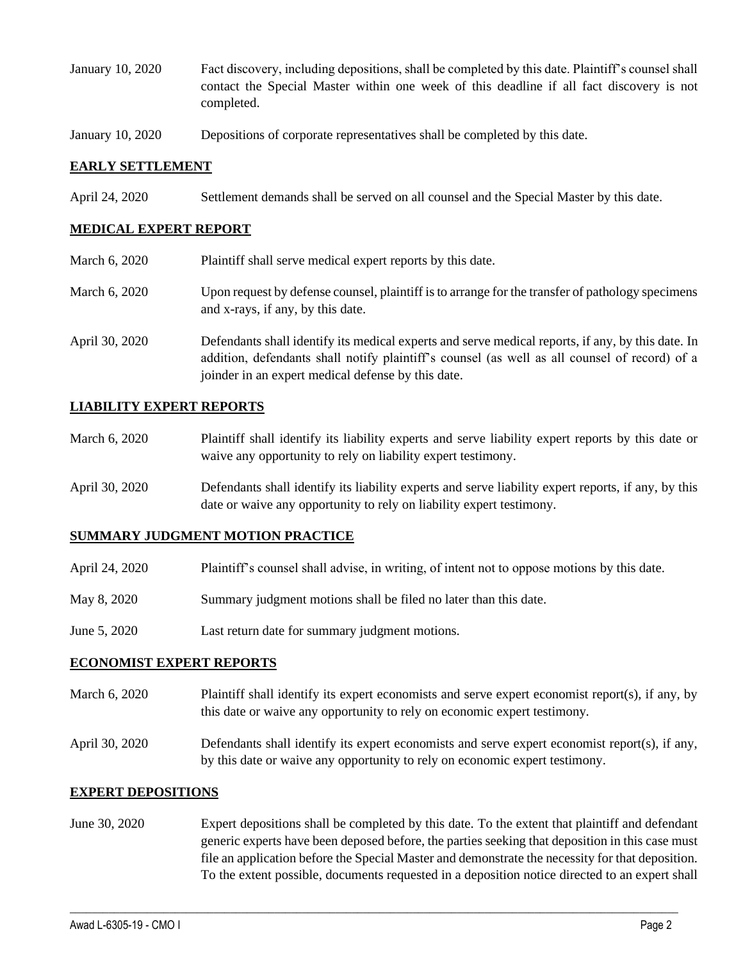- January 10, 2020 Fact discovery, including depositions, shall be completed by this date. Plaintiff's counsel shall contact the Special Master within one week of this deadline if all fact discovery is not completed.
- January 10, 2020 Depositions of corporate representatives shall be completed by this date.

### **EARLY SETTLEMENT**

April 24, 2020 Settlement demands shall be served on all counsel and the Special Master by this date.

### **MEDICAL EXPERT REPORT**

| March 6, 2020  | Plaintiff shall serve medical expert reports by this date.                                                                                                                                                                                               |
|----------------|----------------------------------------------------------------------------------------------------------------------------------------------------------------------------------------------------------------------------------------------------------|
| March 6, 2020  | Upon request by defense counsel, plaintiff is to arrange for the transfer of pathology specimens<br>and x-rays, if any, by this date.                                                                                                                    |
| April 30, 2020 | Defendants shall identify its medical experts and serve medical reports, if any, by this date. In<br>addition, defendants shall notify plaintiff's counsel (as well as all counsel of record) of a<br>joinder in an expert medical defense by this date. |

### **LIABILITY EXPERT REPORTS**

| March 6, 2020 | Plaintiff shall identify its liability experts and serve liability expert reports by this date or |
|---------------|---------------------------------------------------------------------------------------------------|
|               | waive any opportunity to rely on liability expert testimony.                                      |

April 30, 2020 Defendants shall identify its liability experts and serve liability expert reports, if any, by this date or waive any opportunity to rely on liability expert testimony.

### **SUMMARY JUDGMENT MOTION PRACTICE**

| April 24, 2020 | Plaintiff's counsel shall advise, in writing, of intent not to oppose motions by this date. |  |  |
|----------------|---------------------------------------------------------------------------------------------|--|--|
|                |                                                                                             |  |  |

- May 8, 2020 Summary judgment motions shall be filed no later than this date.
- June 5, 2020 Last return date for summary judgment motions.

### **ECONOMIST EXPERT REPORTS**

- March 6, 2020 Plaintiff shall identify its expert economists and serve expert economist report(s), if any, by this date or waive any opportunity to rely on economic expert testimony.
- April 30, 2020 Defendants shall identify its expert economists and serve expert economist report(s), if any, by this date or waive any opportunity to rely on economic expert testimony.

### **EXPERT DEPOSITIONS**

June 30, 2020 Expert depositions shall be completed by this date. To the extent that plaintiff and defendant generic experts have been deposed before, the parties seeking that deposition in this case must file an application before the Special Master and demonstrate the necessity for that deposition. To the extent possible, documents requested in a deposition notice directed to an expert shall

 $\_$  , and the set of the set of the set of the set of the set of the set of the set of the set of the set of the set of the set of the set of the set of the set of the set of the set of the set of the set of the set of th